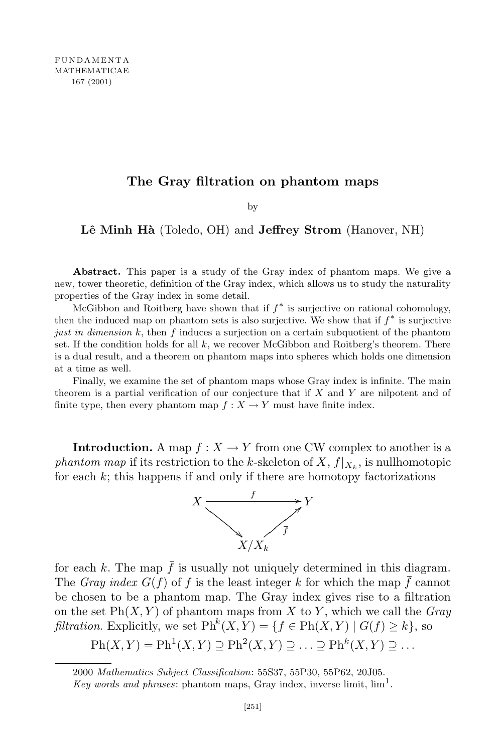## **The Gray filtration on phantom maps**

by

**Lˆe Minh H`a** (Toledo, OH) and **Jeffrey Strom** (Hanover, NH)

**Abstract.** This paper is a study of the Gray index of phantom maps. We give a new, tower theoretic, definition of the Gray index, which allows us to study the naturality properties of the Gray index in some detail.

McGibbon and Roitberg have shown that if *f ∗* is surjective on rational cohomology, then the induced map on phantom sets is also surjective. We show that if *f ∗* is surjective *just in dimension k*, then *f* induces a surjection on a certain subquotient of the phantom set. If the condition holds for all *k*, we recover McGibbon and Roitberg's theorem. There is a dual result, and a theorem on phantom maps into spheres which holds one dimension at a time as well.

Finally, we examine the set of phantom maps whose Gray index is infinite. The main theorem is a partial verification of our conjecture that if *X* and *Y* are nilpotent and of finite type, then every phantom map  $f: X \to Y$  must have finite index.

**Introduction.** A map  $f: X \to Y$  from one CW complex to another is a *phantom map* if its restriction to the *k*-skeleton of  $X$ ,  $f|_{X_k}$ , is nullhomotopic for each *k*; this happens if and only if there are homotopy factorizations



for each *k*. The map  $\bar{f}$  is usually not uniquely determined in this diagram. The *Gray* index  $G(f)$  of f is the least integer k for which the map  $\bar{f}$  cannot be chosen to be a phantom map. The Gray index gives rise to a filtration on the set  $\text{Ph}(X, Y)$  of phantom maps from X to Y, which we call the *Gray filtration*. Explicitly, we set  $\text{Ph}^k(X, Y) = \{f \in \text{Ph}(X, Y) \mid G(f) \geq k\}$ , so

$$
Ph(X,Y) = Ph^{1}(X,Y) \supseteq Ph^{2}(X,Y) \supseteq \ldots \supseteq Ph^{k}(X,Y) \supseteq \ldots
$$

<sup>2000</sup> *Mathematics Subject Classification*: 55S37, 55P30, 55P62, 20J05.

*Key words* and *phrases*: phantom maps, Gray index, inverse limit,  $\lim_{h \to 0}$ .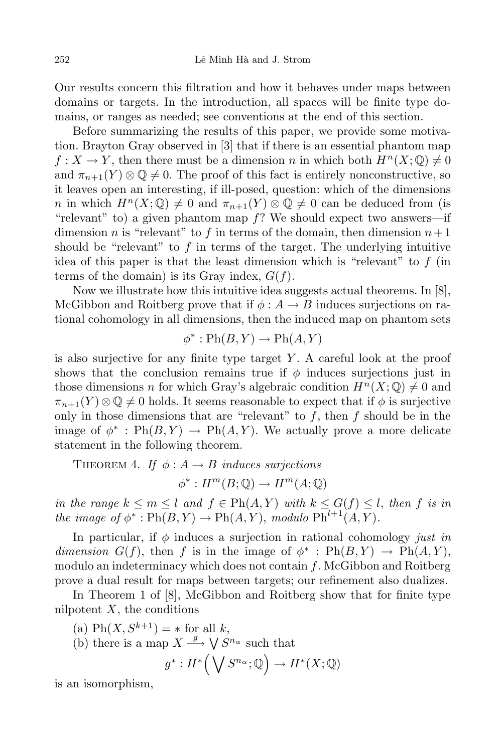Our results concern this filtration and how it behaves under maps between domains or targets. In the introduction, all spaces will be finite type domains, or ranges as needed; see conventions at the end of this section.

Before summarizing the results of this paper, we provide some motivation. Brayton Gray observed in [3] that if there is an essential phantom map  $f: X \to Y$ , then there must be a dimension *n* in which both  $H^n(X; \mathbb{Q}) \neq 0$ and  $\pi_{n+1}(Y) \otimes \mathbb{Q} \neq 0$ . The proof of this fact is entirely nonconstructive, so it leaves open an interesting, if ill-posed, question: which of the dimensions *n* in which  $H^n(X; \mathbb{Q}) \neq 0$  and  $\pi_{n+1}(Y) \otimes \mathbb{Q} \neq 0$  can be deduced from (is "relevant" to) a given phantom map *f*? We should expect two answers—if dimension *n* is "relevant" to *f* in terms of the domain, then dimension  $n+1$ should be "relevant" to *f* in terms of the target. The underlying intuitive idea of this paper is that the least dimension which is "relevant" to *f* (in terms of the domain) is its Gray index, *G*(*f*).

Now we illustrate how this intuitive idea suggests actual theorems. In [8], McGibbon and Roitberg prove that if  $\phi : A \to B$  induces surjections on rational cohomology in all dimensions, then the induced map on phantom sets

$$
\phi^* : \mathrm{Ph}(B, Y) \to \mathrm{Ph}(A, Y)
$$

is also surjective for any finite type target *Y* . A careful look at the proof shows that the conclusion remains true if  $\phi$  induces surjections just in those dimensions *n* for which Gray's algebraic condition  $H^n(X; \mathbb{Q}) \neq 0$  and  $\pi_{n+1}(Y) \otimes \mathbb{Q} \neq 0$  holds. It seems reasonable to expect that if  $\phi$  is surjective only in those dimensions that are "relevant" to *f*, then *f* should be in the image of  $\phi^*$ :  $\text{Ph}(B, Y) \rightarrow \text{Ph}(A, Y)$ . We actually prove a more delicate statement in the following theorem.

THEOREM 4. *If*  $\phi: A \rightarrow B$  *induces surjections* 

 $\phi^*$ :  $H^m(B; \mathbb{Q}) \to H^m(A; \mathbb{Q})$ 

in the range  $k \leq m \leq l$  and  $f \in Ph(A, Y)$  with  $k \leq G(f) \leq l$ , then f is in *the image of*  $\phi^*$  :  $\text{Ph}(B, Y) \to \text{Ph}(A, Y)$ , *modulo*  $\text{Ph}^{l+1}(A, Y)$ *.* 

In particular, if *φ* induces a surjection in rational cohomology *just in dimension*  $G(f)$ , then *f* is in the image of  $\phi^*$ :  $Ph(B, Y) \rightarrow Ph(A, Y)$ , modulo an indeterminacy which does not contain *f*. McGibbon and Roitberg prove a dual result for maps between targets; our refinement also dualizes.

In Theorem 1 of [8], McGibbon and Roitberg show that for finite type nilpotent *X*, the conditions

 $h(X, S^{k+1}) = *$  for all *k*,

(b) there is a map 
$$
X \xrightarrow{g} \bigvee S^{n_{\alpha}}
$$
 such that  

$$
a^* \cdot H^* \big(\bigvee S^{n_{\alpha}} \cdot \mathbb{Q}\big) \to H^* (X \cdot \mathbb{Q})
$$

$$
g^*: H^*\Big(\bigvee S^{n_{\alpha}};\mathbb{Q}\Big) \to H^*(X;\mathbb{Q})
$$

is an isomorphism,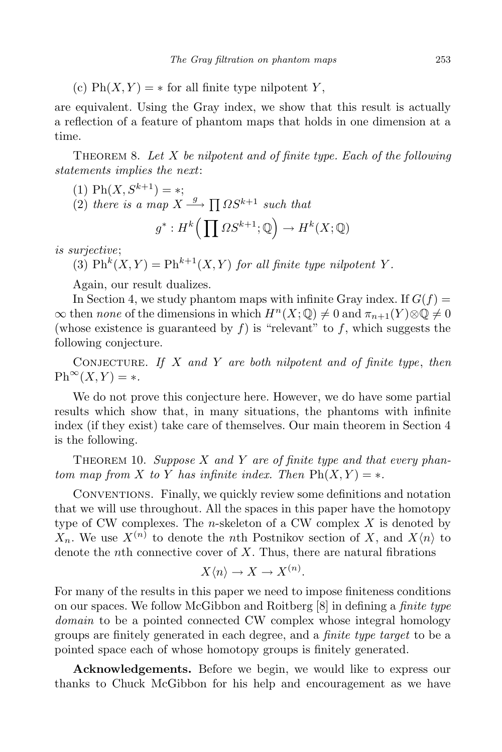(c)  $\text{Ph}(X, Y) = *$  for all finite type nilpotent *Y*,

are equivalent. Using the Gray index, we show that this result is actually a reflection of a feature of phantom maps that holds in one dimension at a time.

Theorem 8. *Let X be nilpotent and of finite type. Each of the following statements implies the next*:

(1) 
$$
\text{Ph}(X, S^{k+1}) = *
$$
;

 $(2)$  *there is a map*  $X \xrightarrow{g} \prod \Omega S^{k+1}$  *such that* 

$$
g^*: H^k\Big(\prod \Omega S^{k+1}; \mathbb{Q}\Big) \to H^k(X; \mathbb{Q})
$$

*is surjective*;

(3)  $\mathrm{Ph}^k(X, Y) = \mathrm{Ph}^{k+1}(X, Y)$  *for all finite type nilpotent Y*.

Again, our result dualizes.

In Section 4, we study phantom maps with infinite Gray index. If  $G(f)$  =  $\infty$  then *none* of the dimensions in which  $H^n(X; \mathbb{Q}) \neq 0$  and  $\pi_{n+1}(Y) \otimes \mathbb{Q} \neq 0$ (whose existence is guaranteed by  $f$ ) is "relevant" to  $f$ , which suggests the following conjecture.

Conjecture. *If X and Y are both nilpotent and of finite type*, *then*  $\mathrm{Ph}^{\infty}(X, Y) = *$ .

We do not prove this conjecture here. However, we do have some partial results which show that, in many situations, the phantoms with infinite index (if they exist) take care of themselves. Our main theorem in Section 4 is the following.

THEOREM 10. *Suppose X* and *Y* are of finite type and that every phan*tom map from X to Y has infinite index. Then*  $\text{Ph}(X, Y) = *$ .

Conventions. Finally, we quickly review some definitions and notation that we will use throughout. All the spaces in this paper have the homotopy type of CW complexes. The *n*-skeleton of a CW complex *X* is denoted by  $X_n$ . We use  $X^{(n)}$  to denote the *n*th Postnikov section of *X*, and  $X\langle n \rangle$  to denote the *n*th connective cover of *X*. Thus, there are natural fibrations

$$
X\langle n\rangle \to X \to X^{(n)}.
$$

For many of the results in this paper we need to impose finiteness conditions on our spaces. We follow McGibbon and Roitberg [8] in defining a *finite type domain* to be a pointed connected CW complex whose integral homology groups are finitely generated in each degree, and a *finite type target* to be a pointed space each of whose homotopy groups is finitely generated.

**Acknowledgements.** Before we begin, we would like to express our thanks to Chuck McGibbon for his help and encouragement as we have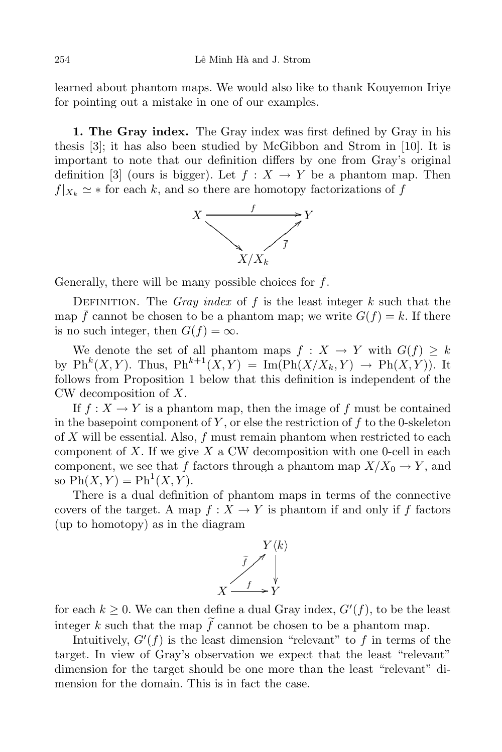learned about phantom maps. We would also like to thank Kouyemon Iriye for pointing out a mistake in one of our examples.

**1. The Gray index.** The Gray index was first defined by Gray in his thesis [3]; it has also been studied by McGibbon and Strom in [10]. It is important to note that our definition differs by one from Gray's original definition [3] (ours is bigger). Let  $f : X \to Y$  be a phantom map. Then  $f|_{X_k} \simeq *$  for each *k*, and so there are homotopy factorizations of *f* 



Generally, there will be many possible choices for  $\bar{f}$ .

Definition. The *Gray index* of *f* is the least integer *k* such that the map *f* cannot be chosen to be a phantom map; we write  $G(f) = k$ . If there is no such integer, then  $G(f) = \infty$ .

We denote the set of all phantom maps  $f: X \to Y$  with  $G(f) \geq k$ by  $\mathrm{Ph}^k(X, Y)$ . Thus,  $\mathrm{Ph}^{k+1}(X, Y) = \mathrm{Im}(\mathrm{Ph}(X/X_k, Y) \to \mathrm{Ph}(X, Y))$ . It follows from Proposition 1 below that this definition is independent of the CW decomposition of *X*.

If  $f: X \to Y$  is a phantom map, then the image of  $f$  must be contained in the basepoint component of *Y* , or else the restriction of *f* to the 0-skeleton of *X* will be essential. Also, *f* must remain phantom when restricted to each component of *X*. If we give *X* a CW decomposition with one 0-cell in each component, we see that *f* factors through a phantom map  $X/X_0 \to Y$ , and so  $\text{Ph}(X, Y) = \text{Ph}^1(X, Y)$ .

There is a dual definition of phantom maps in terms of the connective covers of the target. A map  $f: X \to Y$  is phantom if and only if f factors (up to homotopy) as in the diagram



for each  $k \geq 0$ . We can then define a dual Gray index,  $G'(f)$ , to be the least integer k such that the map  $\tilde{f}$  cannot be chosen to be a phantom map.

Intuitively,  $G'(f)$  is the least dimension "relevant" to  $f$  in terms of the target. In view of Gray's observation we expect that the least "relevant" dimension for the target should be one more than the least "relevant" dimension for the domain. This is in fact the case.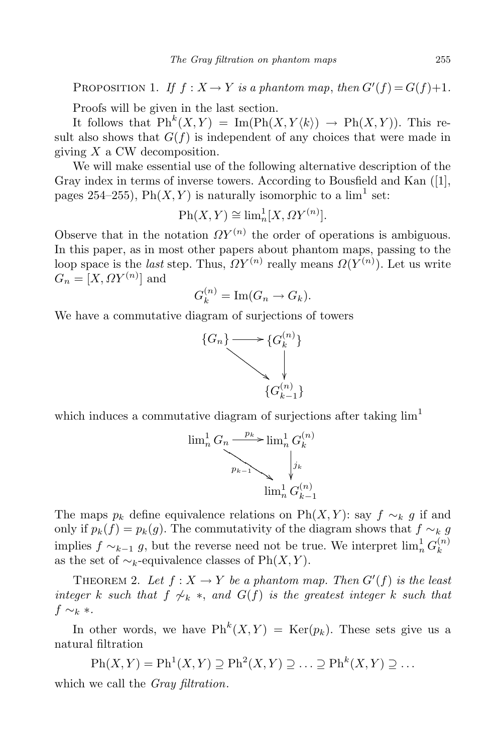PROPOSITION 1. *If*  $f: X \to Y$  *is a phantom map, then*  $G'(f) = G(f) + 1$ .

Proofs will be given in the last section.

It follows that  $\text{Ph}^k(X, Y) = \text{Im}(\text{Ph}(X, Y \langle k \rangle) \rightarrow \text{Ph}(X, Y))$ . This result also shows that  $G(f)$  is independent of any choices that were made in giving *X* a CW decomposition.

We will make essential use of the following alternative description of the Gray index in terms of inverse towers. According to Bousfield and Kan ([1], pages 254–255),  $\text{Ph}(X, Y)$  is naturally isomorphic to a  $\lim^1$  set:

$$
\text{Ph}(X, Y) \cong \lim_{n} [X, \Omega Y^{(n)}].
$$

Observe that in the notation  $\Omega Y^{(n)}$  the order of operations is ambiguous. In this paper, as in most other papers about phantom maps, passing to the loop space is the *last* step. Thus,  $\Omega Y^{(n)}$  really means  $\Omega(Y^{(n)})$ . Let us write  $G_n = [X, \Omega Y^{(n)}]$  and

$$
G_k^{(n)} = \operatorname{Im}(G_n \to G_k).
$$

We have a commutative diagram of surjections of towers



which induces a commutative diagram of surjections after taking  $\lim$ <sup>1</sup>



The maps  $p_k$  define equivalence relations on Ph(*X,Y*): say  $f \sim_k g$  if and only if  $p_k(f) = p_k(g)$ . The commutativity of the diagram shows that  $f \sim_k g$ implies  $f \sim_{k-1} g$ , but the reverse need not be true. We interpret  $\lim_{n} G_k^{(n)}$ *k* as the set of  $\sim_k$ -equivalence classes of Ph $(X, Y)$ .

THEOREM 2. Let  $f: X \to Y$  be a phantom map. Then  $G'(f)$  is the least *integer k such that*  $f \nsim_{k} *$ , *and*  $G(f)$  *is the greatest integer k such that f ∼<sup>k</sup> ∗.*

In other words, we have  $\text{Ph}^k(X, Y) = \text{Ker}(p_k)$ . These sets give us a natural filtration

$$
Ph(X,Y) = Ph1(X,Y) \supseteq Ph2(X,Y) \supseteq \dots \supseteq Phk(X,Y) \supseteq \dots
$$

which we call the *Gray filtration*.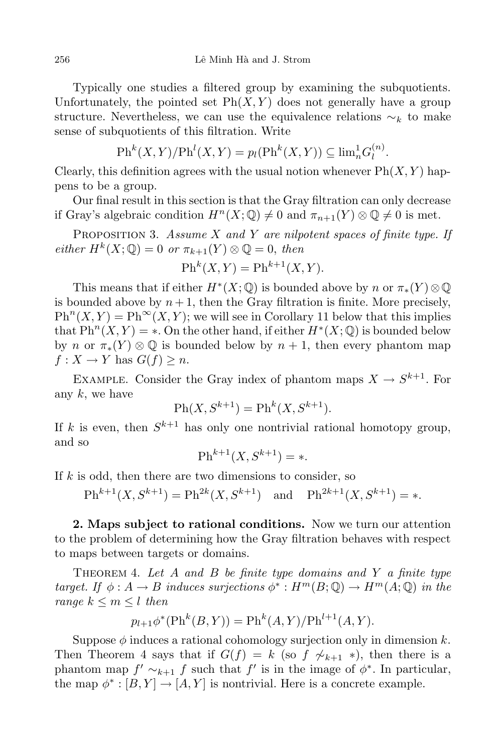Typically one studies a filtered group by examining the subquotients. Unfortunately, the pointed set  $\text{Ph}(X, Y)$  does not generally have a group structure. Nevertheless, we can use the equivalence relations  $\sim_k$  to make sense of subquotients of this filtration. Write

$$
\mathrm{Ph}^k(X,Y)/\mathrm{Ph}^l(X,Y) = p_l(\mathrm{Ph}^k(X,Y)) \subseteq \mathrm{lim}_n^1 G_l^{(n)}.
$$

Clearly, this definition agrees with the usual notion whenever  $\text{Ph}(X, Y)$  happens to be a group.

Our final result in this section is that the Gray filtration can only decrease if Gray's algebraic condition  $H^n(X; \mathbb{Q}) \neq 0$  and  $\pi_{n+1}(Y) \otimes \mathbb{Q} \neq 0$  is met.

Proposition 3. *Assume X and Y are nilpotent spaces of finite type. If*  $\mathbb{P}e^{i\theta}$  *H*<sup>k</sup> $(X; \mathbb{Q}) = 0$  *or*  $\pi_{k+1}(Y) \otimes \mathbb{Q} = 0$ , *then* 

$$
\mathrm{Ph}^k(X, Y) = \mathrm{Ph}^{k+1}(X, Y).
$$

This means that if either  $H^*(X; \mathbb{Q})$  is bounded above by *n* or  $\pi_*(Y) \otimes \mathbb{Q}$ is bounded above by  $n+1$ , then the Gray filtration is finite. More precisely,  $\mathrm{Ph}^n(X, Y) = \mathrm{Ph}^{\infty}(X, Y)$ ; we will see in Corollary 11 below that this implies that  $\text{Ph}^n(X, Y) = *$ . On the other hand, if either  $H^*(X; \mathbb{Q})$  is bounded below by *n* or  $\pi_*(Y) \otimes \mathbb{Q}$  is bounded below by  $n+1$ , then every phantom map  $f: X \to Y$  has  $G(f) \geq n$ .

EXAMPLE. Consider the Gray index of phantom maps  $X \to S^{k+1}$ . For any *k*, we have

$$
\mathrm{Ph}(X, S^{k+1}) = \mathrm{Ph}^k(X, S^{k+1}).
$$

If  $k$  is even, then  $S^{k+1}$  has only one nontrivial rational homotopy group, and so

$$
\text{Ph}^{k+1}(X, S^{k+1}) = *.
$$

If *k* is odd, then there are two dimensions to consider, so

 $\text{Ph}^{k+1}(X, S^{k+1}) = \text{Ph}^{2k}(X, S^{k+1})$  and  $\text{Ph}^{2k+1}(X, S^{k+1}) = *$ .

**2. Maps subject to rational conditions.** Now we turn our attention to the problem of determining how the Gray filtration behaves with respect to maps between targets or domains.

Theorem 4. *Let A and B be finite type domains and Y a finite type target. If*  $\phi: A \to B$  *induces surjections*  $\phi^*: H^m(B; \mathbb{Q}) \to H^m(A; \mathbb{Q})$  *in the range*  $k \leq m \leq l$  *then* 

$$
p_{l+1}\phi^*(\text{Ph}^k(B, Y)) = \text{Ph}^k(A, Y)/\text{Ph}^{l+1}(A, Y).
$$

Suppose  $\phi$  induces a rational cohomology surjection only in dimension  $k$ . Then Theorem 4 says that if  $G(f) = k$  (so  $f \nsim k+1 * k$ ), then there is a phantom map  $f' \sim_{k+1} f$  such that  $f'$  is in the image of  $\phi^*$ . In particular, the map  $\phi^* : [B, Y] \to [A, Y]$  is nontrivial. Here is a concrete example.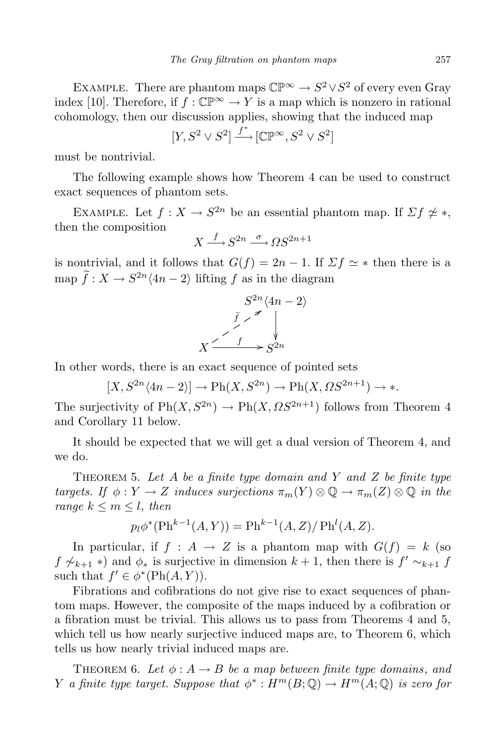EXAMPLE. There are phantom maps  $\mathbb{CP}^{\infty} \to S^2 \vee S^2$  of every even Gray index [10]. Therefore, if  $f : \mathbb{CP}^{\infty} \to Y$  is a map which is nonzero in rational cohomology, then our discussion applies, showing that the induced map

$$
[Y, S^2 \vee S^2] \xrightarrow{f^*} [\mathbb{CP}^\infty, S^2 \vee S^2]
$$

must be nontrivial.

The following example shows how Theorem 4 can be used to construct exact sequences of phantom sets.

EXAMPLE. Let  $f: X \to S^{2n}$  be an essential phantom map. If  $\Sigma f \not\cong *$ , then the composition

$$
X \xrightarrow{f} S^{2n} \xrightarrow{\sigma} \Omega S^{2n+1}
$$

is nontrivial, and it follows that  $G(f) = 2n - 1$ . If  $\Sigma f \simeq *$  then there is a map  $f: X \to S^{2n} \langle 4n - 2 \rangle$  lifting  $f$  as in the diagram

$$
S^{2n}\langle 4n-2\rangle
$$
  

$$
\tilde{f} \nearrow \qquad \downarrow
$$
  

$$
X \xrightarrow{\tilde{f} \nearrow \qquad \searrow}
$$
  

$$
S^{2n}
$$

In other words, there is an exact sequence of pointed sets

 $[X, S^{2n} \langle 4n - 2 \rangle] \to \text{Ph}(X, S^{2n}) \to \text{Ph}(X, \Omega S^{2n+1}) \to *$ .

The surjectivity of  $\text{Ph}(X, S^{2n}) \to \text{Ph}(X, \Omega S^{2n+1})$  follows from Theorem 4 and Corollary 11 below.

It should be expected that we will get a dual version of Theorem 4, and we do.

Theorem 5. *Let A be a finite type domain and Y and Z be finite type targets. If*  $\phi: Y \to Z$  *induces surjections*  $\pi_m(Y) \otimes \mathbb{Q} \to \pi_m(Z) \otimes \mathbb{Q}$  *in the range*  $k \leq m \leq l$ , *then* 

$$
p_l \phi^*(\text{Ph}^{k-1}(A, Y)) = \text{Ph}^{k-1}(A, Z) / \text{Ph}^l(A, Z).
$$

In particular, if  $f : A \to Z$  is a phantom map with  $G(f) = k$  (so  $f \nsim k+1$  *∗*) and  $\phi_*$  is surjective in dimension  $k+1$ , then there is  $f' \sim_{k+1} f$ such that  $f' \in \phi^*(\text{Ph}(A, Y)).$ 

Fibrations and cofibrations do not give rise to exact sequences of phantom maps. However, the composite of the maps induced by a cofibration or a fibration must be trivial. This allows us to pass from Theorems 4 and 5, which tell us how nearly surjective induced maps are, to Theorem 6, which tells us how nearly trivial induced maps are.

THEOREM 6. Let  $\phi: A \rightarrow B$  be a map between finite type domains, and *Y a finite type target. Suppose that*  $\phi^* : H^m(B; \mathbb{Q}) \to H^m(A; \mathbb{Q})$  *is zero for*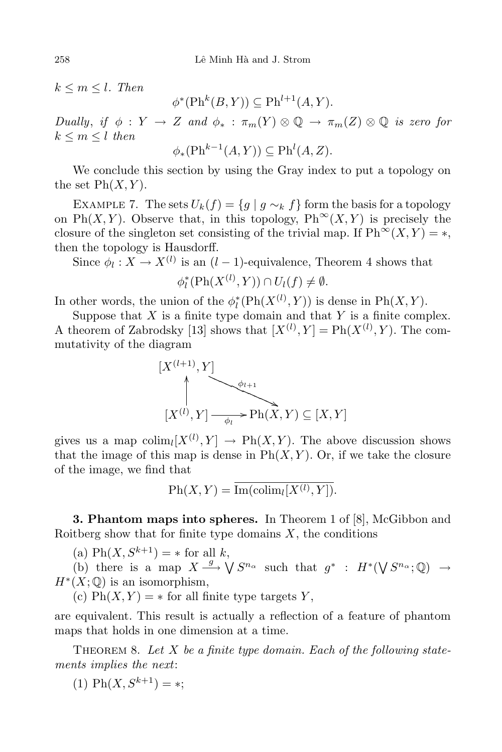$k \leq m \leq l$ *. Then* 

 $\phi^*(\text{Ph}^k(B, Y)) \subseteq \text{Ph}^{l+1}(A, Y)$ *.* 

*Dually*, *if*  $\phi: Y \to Z$  *and*  $\phi_* : \pi_m(Y) \otimes \mathbb{Q} \to \pi_m(Z) \otimes \mathbb{Q}$  *is zero for*  $k \leq m \leq l$  *then* 

$$
\phi_*(\mathrm{Ph}^{k-1}(A,Y)) \subseteq \mathrm{Ph}^l(A,Z).
$$

We conclude this section by using the Gray index to put a topology on the set  $\text{Ph}(X, Y)$ .

EXAMPLE 7. The sets  $U_k(f) = \{g \mid g \sim_k f\}$  form the basis for a topology on Ph $(X, Y)$ . Observe that, in this topology, Ph<sup>∞</sup> $(X, Y)$  is precisely the closure of the singleton set consisting of the trivial map. If  $\text{Ph}^{\infty}(X, Y) = *$ , then the topology is Hausdorff.

Since  $\phi_l: X \to X^{(l)}$  is an  $(l-1)$ -equivalence, Theorem 4 shows that

 $\phi_l^*(\text{Ph}(X^{(l)}, Y)) \cap U_l(f) \neq \emptyset$ .

In other words, the union of the  $\phi_l^*(\text{Ph}(X^{(l)}, Y))$  is dense in  $\text{Ph}(X, Y)$ .

Suppose that *X* is a finite type domain and that *Y* is a finite complex. A theorem of Zabrodsky [13] shows that  $[X^{(l)}, Y] = \text{Ph}(X^{(l)}, Y)$ . The commutativity of the diagram

$$
[X^{(l+1)}, Y]
$$
  
\n
$$
\uparrow
$$
  
\n
$$
[X^{(l)}, Y] \xrightarrow{\phi_l} \text{Ph}(X, Y) \subseteq [X, Y]
$$

gives us a map  $\text{colim}_{l}[X^{(l)}, Y] \rightarrow \text{Ph}(X, Y)$ . The above discussion shows that the image of this map is dense in  $\text{Ph}(X, Y)$ . Or, if we take the closure of the image, we find that

 $\text{Ph}(X, Y) = \text{Im}(\text{colim}_{l}[X^{(l)}, Y]).$ 

**3. Phantom maps into spheres.** In Theorem 1 of [8], McGibbon and Roitberg show that for finite type domains  $X$ , the conditions

 $\text{(a) Ph}(X, S^{k+1}) = * \text{ for all } k,$ 

(b) there is a map  $X \xrightarrow{g} \bigvee S^{n_{\alpha}}$  such that  $g^*$  :  $H^*(\bigvee S^{n_{\alpha}};\mathbb{Q}) \to$  $H^*(X; \mathbb{Q})$  is an isomorphism,

(c)  $\text{Ph}(X, Y) = *$  for all finite type targets *Y*,

are equivalent. This result is actually a reflection of a feature of phantom maps that holds in one dimension at a time.

Theorem 8. *Let X be a finite type domain. Each of the following statements implies the next*:

 $(1)$  Ph $(X, S^{k+1}) = *;$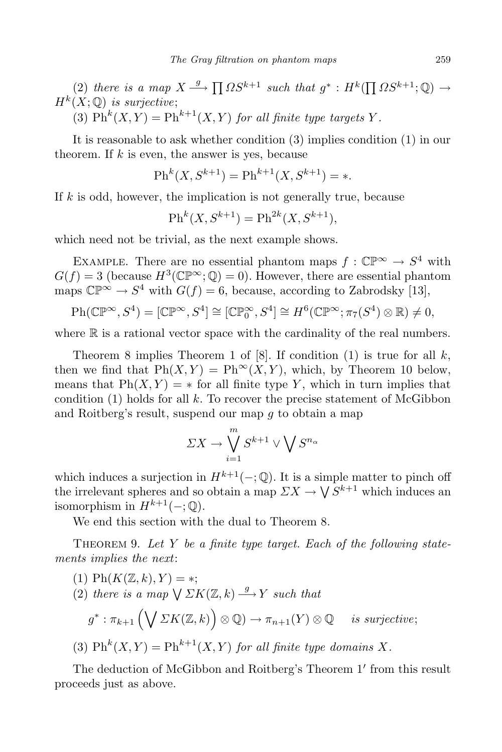$(2)$  *there is a map*  $X \xrightarrow{g} \prod \Omega S^{k+1}$  *such that*  $g^* : H^k(\prod \Omega S^{k+1}; \mathbb{Q}) \to$  $H^k(X; \mathbb{Q})$  *is surjective*;

(3)  $\mathrm{Ph}^k(X, Y) = \mathrm{Ph}^{k+1}(X, Y)$  *for all finite type targets Y*.

It is reasonable to ask whether condition (3) implies condition (1) in our theorem. If *k* is even, the answer is yes, because

$$
\text{Ph}^k(X, S^{k+1}) = \text{Ph}^{k+1}(X, S^{k+1}) = *.
$$

If *k* is odd, however, the implication is not generally true, because

$$
Ph^k(X, S^{k+1}) = Ph^{2k}(X, S^{k+1}),
$$

which need not be trivial, as the next example shows.

EXAMPLE. There are no essential phantom maps  $f : \mathbb{CP}^{\infty} \to S^4$  with  $G(f) = 3$  (because  $H^3(\mathbb{CP}^\infty; \mathbb{Q}) = 0$ ). However, there are essential phantom maps  $\mathbb{CP}^{\infty} \to S^4$  with  $G(f) = 6$ , because, according to Zabrodsky [13],

$$
\text{Ph}(\mathbb{CP}^{\infty}, S^4) = [\mathbb{CP}^{\infty}, S^4] \cong [\mathbb{CP}^{\infty}_0, S^4] \cong H^6(\mathbb{CP}^{\infty}; \pi_7(S^4) \otimes \mathbb{R}) \neq 0,
$$

where  $\mathbb R$  is a rational vector space with the cardinality of the real numbers.

Theorem 8 implies Theorem 1 of [8]. If condition (1) is true for all *k*, then we find that  $\text{Ph}(X, Y) = \text{Ph}^{\infty}(X, Y)$ , which, by Theorem 10 below, means that  $Ph(X, Y) = *$  for all finite type *Y*, which in turn implies that condition  $(1)$  holds for all  $k$ . To recover the precise statement of McGibbon and Roitberg's result, suspend our map *g* to obtain a map

$$
\Sigma X \to \bigvee_{i=1}^{m} S^{k+1} \vee \bigvee S^{n_{\alpha}}
$$

which induces a surjection in  $H^{k+1}(-; \mathbb{Q})$ . It is a simple matter to pinch off the irrelevant spheres and so obtain a map  $\sum X \to \bigvee S^{k+1}$  which induces an isomorphism in  $H^{k+1}(-; \mathbb{Q})$ .

We end this section with the dual to Theorem 8.

Theorem 9. *Let Y be a finite type target. Each of the following statements implies the next*:

\n- (1) 
$$
Ph(K(\mathbb{Z},k),Y) = *
$$
;
\n- (2) there is a map  $\bigvee \Sigma K(\mathbb{Z},k) \xrightarrow{g} Y$  such that
\n- $g^* : \pi_{k+1} \left( \bigvee \Sigma K(\mathbb{Z},k) \right) \otimes \mathbb{Q} \to \pi_{n+1}(Y) \otimes \mathbb{Q}$  is surjective;
\n- (3)  $\mathrm{Ph}^k(X,Y) = \mathrm{Ph}^{k+1}(X,Y)$  for all finite type domains  $X$ .
\n

The deduction of McGibbon and Roitberg's Theorem 1' from this result proceeds just as above.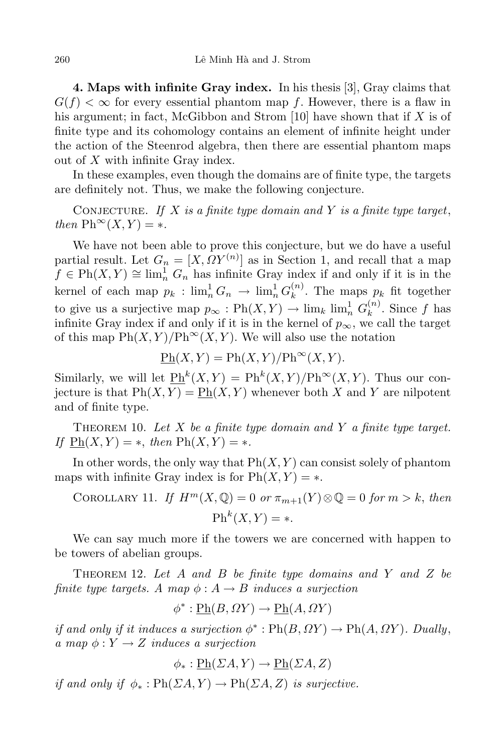**4. Maps with infinite Gray index.** In his thesis [3], Gray claims that  $G(f) < \infty$  for every essential phantom map f. However, there is a flaw in his argument; in fact, McGibbon and Strom [10] have shown that if *X* is of finite type and its cohomology contains an element of infinite height under the action of the Steenrod algebra, then there are essential phantom maps out of *X* with infinite Gray index.

In these examples, even though the domains are of finite type, the targets are definitely not. Thus, we make the following conjecture.

CONJECTURE. If  $X$  is a finite type domain and  $Y$  is a finite type target,  $then \mathrm{Ph}^{\infty}(X, Y) = *$ .

We have not been able to prove this conjecture, but we do have a useful partial result. Let  $G_n = [X, \Omega Y^{(n)}]$  as in Section 1, and recall that a map  $f \in \mathrm{Ph}(X, Y) \cong \lim_{n \to \infty}^1 G_n$  has infinite Gray index if and only if it is in the  $\text{kernel of each map } p_k : \lim_n^1 G_n \to \lim_n^1 G_k^{(n)}$  $\binom{n}{k}$ . The maps  $p_k$  fit together to give us a surjective map  $p_{\infty} : \text{Ph}(X, Y) \to \lim_{k} \lim_{n \to \infty} G_k^{(n)}$  $\binom{n}{k}$ . Since *f* has infinite Gray index if and only if it is in the kernel of  $p_{\infty}$ , we call the target of this map  $\text{Ph}(X, Y)/\text{Ph}^{\infty}(X, Y)$ . We will also use the notation

$$
\underline{\mathrm{Ph}}(X,Y) = \mathrm{Ph}(X,Y)/\mathrm{Ph}^{\infty}(X,Y).
$$

Similarly, we will let  $\mathcal{P}_{h}^{h}(X,Y) = \mathrm{Ph}^{k}(X,Y)/\mathrm{Ph}^{\infty}(X,Y)$ . Thus our conjecture is that  $Ph(X, Y) = Ph(X, Y)$  whenever both X and Y are nilpotent and of finite type.

Theorem 10. *Let X be a finite type domain and Y a finite type target.*  $If$   $Ph(X, Y) = *$ ,  $then$   $Ph(X, Y) = *$ .

In other words, the only way that  $\text{Ph}(X, Y)$  can consist solely of phantom maps with infinite Gray index is for  $\text{Ph}(X, Y) = *$ .

COROLLARY 11. If 
$$
H^m(X, \mathbb{Q}) = 0
$$
 or  $\pi_{m+1}(Y) \otimes \mathbb{Q} = 0$  for  $m > k$ , then  

$$
Ph^k(X, Y) = *.
$$

We can say much more if the towers we are concerned with happen to be towers of abelian groups.

Theorem 12. *Let A and B be finite type domains and Y and Z be finite type targets. A map*  $\phi$  :  $A \rightarrow B$  *induces a surjection* 

$$
\phi^* : \underline{\mathrm{Ph}}(B, \Omega Y) \to \underline{\mathrm{Ph}}(A, \Omega Y)
$$

*if* and only *if it induces* a *surjection*  $\phi^*$ :  $\text{Ph}(B, \Omega Y) \to \text{Ph}(A, \Omega Y)$ *. Dually,*  $a \mapsto \phi: Y \to Z \text{ induces a surjection}$ 

$$
\phi_* : \underline{\mathrm{Ph}}(\Sigma A, Y) \to \underline{\mathrm{Ph}}(\Sigma A, Z)
$$

*if* and only if  $\phi_* : \text{Ph}(\Sigma A, Y) \to \text{Ph}(\Sigma A, Z)$  is surjective.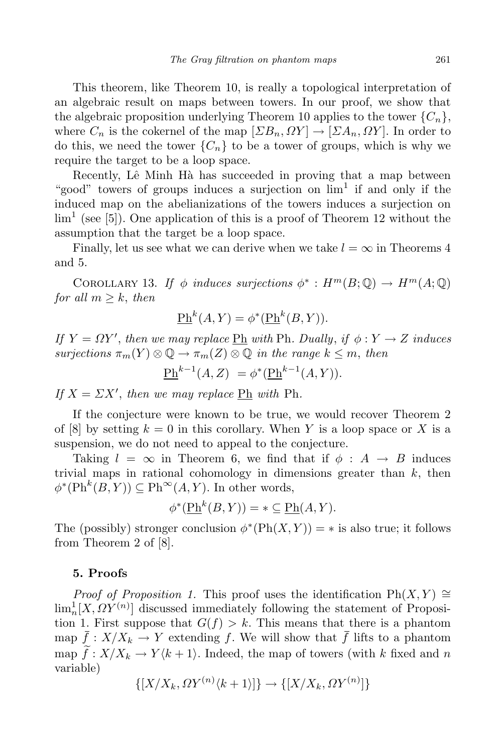This theorem, like Theorem 10, is really a topological interpretation of an algebraic result on maps between towers. In our proof, we show that the algebraic proposition underlying Theorem 10 applies to the tower  ${C_n}$ , where  $C_n$  is the cokernel of the map  $[\Sigma B_n, \Omega Y] \to [\Sigma A_n, \Omega Y]$ . In order to do this, we need the tower  ${C_n}$  to be a tower of groups, which is why we require the target to be a loop space.

Recently, Lê Minh Hà has succeeded in proving that a map between "good" towers of groups induces a surjection on  $\lim<sup>1</sup>$  if and only if the induced map on the abelianizations of the towers induces a surjection on  $\lim<sup>1</sup>$  (see [5]). One application of this is a proof of Theorem 12 without the assumption that the target be a loop space.

Finally, let us see what we can derive when we take  $l = \infty$  in Theorems 4 and 5.

COROLLARY 13. *If*  $\phi$  *induces surjections*  $\phi^* : H^m(B; \mathbb{Q}) \to H^m(A; \mathbb{Q})$ *for all*  $m \geq k$ , *then* 

$$
\underline{\mathrm{Ph}}^k(A, Y) = \phi^*(\underline{\mathrm{Ph}}^k(B, Y)).
$$

*If*  $Y = \Omega Y'$ , then we may replace  $\underline{Ph}$  with Ph. Dually, if  $\phi: Y \to Z$  induces  $surjections \pi_m(Y) \otimes \mathbb{Q} \to \pi_m(Z) \otimes \mathbb{Q}$  *in the range*  $k \leq m$ , *then* 

$$
\underline{\mathrm{Ph}}^{k-1}(A, Z) = \phi^*(\underline{\mathrm{Ph}}^{k-1}(A, Y)).
$$

*If*  $X = \Sigma X'$ , *then we may replace*  $\underline{Ph}$  *with*  $Ph$ *.* 

If the conjecture were known to be true, we would recover Theorem 2 of  $[8]$  by setting  $k = 0$  in this corollary. When Y is a loop space or X is a suspension, we do not need to appeal to the conjecture.

Taking  $l = \infty$  in Theorem 6, we find that if  $\phi : A \rightarrow B$  induces trivial maps in rational cohomology in dimensions greater than *k*, then  $\phi^*(\text{Ph}^k(B, Y)) \subseteq \text{Ph}^{\infty}(A, Y)$ . In other words,

$$
\phi^*(\underline{\mathrm{Ph}}^k(B, Y)) = * \subseteq \underline{\mathrm{Ph}}(A, Y).
$$

The (possibly) stronger conclusion  $\phi^*(\text{Ph}(X, Y)) = *$  is also true; it follows from Theorem 2 of [8].

## **5. Proofs**

*Proof of Proposition 1.* This proof uses the identification  $\text{Ph}(X, Y) \cong$  $\lim_{n} [X, \Omega Y^{(n)}]$  discussed immediately following the statement of Proposition 1. First suppose that  $G(f) > k$ . This means that there is a phantom map  $\bar{f}: X/X_k \to Y$  extending f. We will show that  $\bar{f}$  lifts to a phantom map  $\hat{f}: X/X_k \to Y(k+1)$ . Indeed, the map of towers (with k fixed and *n* variable)

$$
\{[X/X_k, \Omega Y^{(n)}\langle k+1 \rangle]\} \to \{[X/X_k, \Omega Y^{(n)}]\}
$$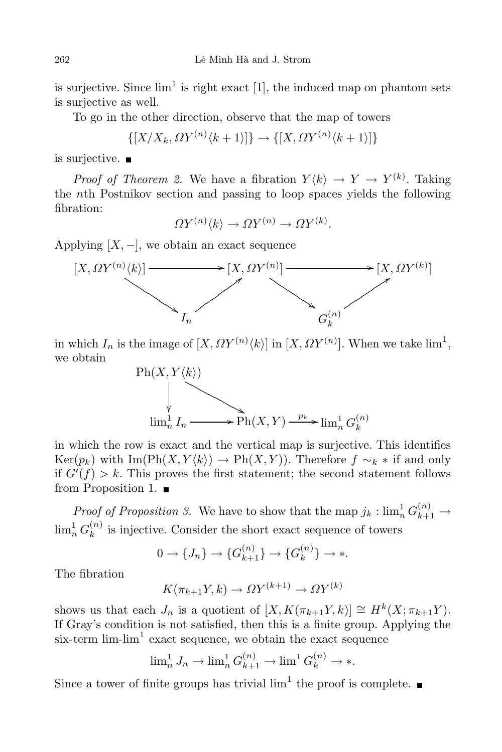is surjective. Since  $\lim^1$  is right exact [1], the induced map on phantom sets is surjective as well.

To go in the other direction, observe that the map of towers

$$
\{[X/X_k, \Omega Y^{(n)}\langle k+1\rangle]\} \to \{[X, \Omega Y^{(n)}\langle k+1\rangle]\}
$$

is surjective.  $\blacksquare$ 

*Proof of Theorem* 2. We have a fibration  $Y\langle k \rangle \rightarrow Y \rightarrow Y^{(k)}$ . Taking the *n*th Postnikov section and passing to loop spaces yields the following fibration:

 $\Omega Y^{(n)} \langle k \rangle \to \Omega Y^{(n)} \to \Omega Y^{(k)}$ .

Applying  $[X, -]$ , we obtain an exact sequence



in which  $I_n$  is the image of  $[X, \Omega Y^{(n)} \langle k \rangle]$  in  $[X, \Omega Y^{(n)}]$ . When we take lim<sup>1</sup>, we obtain



in which the row is exact and the vertical map is surjective. This identifies  $Ker(p_k)$  with  $Im(Ph(X, Y \langle k \rangle) \rightarrow Ph(X, Y))$ . Therefore  $f \sim_k *$  if and only if  $G'(f) > k$ . This proves the first statement; the second statement follows from Proposition 1.

*Proof of Proposition 3.* We have to show that the map  $j_k: \lim_n G^{(n)}_{k+1} \to$  $\lim_n^1 G_k^{(n)}$  $\binom{n}{k}$  is injective. Consider the short exact sequence of towers

$$
0 \to \{J_n\} \to \{G_{k+1}^{(n)}\} \to \{G_k^{(n)}\} \to \ast.
$$

The fibration

$$
K(\pi_{k+1}Y,k) \to \Omega Y^{(k+1)} \to \Omega Y^{(k)}
$$

shows us that each  $J_n$  is a quotient of  $[X, K(\pi_{k+1}Y, k)] \cong H^k(X; \pi_{k+1}Y)$ . If Gray's condition is not satisfied, then this is a finite group. Applying the six-term  $\lim_{h \to 0} \frac{1}{h}$  exact sequence, we obtain the exact sequence

$$
\lim_{n}^{1} J_{n} \to \lim_{n}^{1} G_{k+1}^{(n)} \to \lim_{n}^{1} G_{k}^{(n)} \to \ast.
$$

Since a tower of finite groups has trivial  $\lim<sup>1</sup>$  the proof is complete.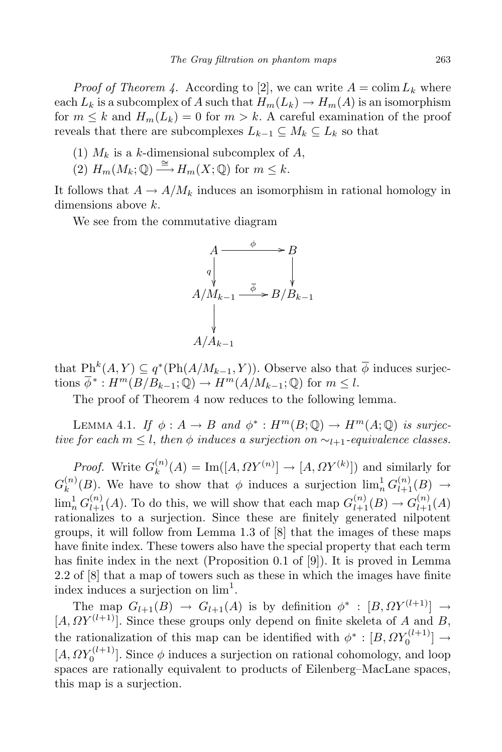*Proof of Theorem 4.* According to [2], we can write  $A = \text{colim } L_k$  where each  $L_k$  is a subcomplex of *A* such that  $H_m(L_k) \to H_m(A)$  is an isomorphism for  $m \leq k$  and  $H_m(L_k) = 0$  for  $m > k$ . A careful examination of the proof reveals that there are subcomplexes  $L_{k-1} \subseteq M_k \subseteq L_k$  so that

- (1)  $M_k$  is a *k*-dimensional subcomplex of *A*,
- $(2)$   $H_m(M_k; \mathbb{Q}) \xrightarrow{\cong} H_m(X; \mathbb{Q})$  for  $m \leq k$ .

It follows that  $A \to A/M_k$  induces an isomorphism in rational homology in dimensions above *k*.

We see from the commutative diagram



that  $\text{Ph}^k(A, Y) \subseteq q^*(\text{Ph}(A/M_{k-1}, Y))$ . Observe also that  $\overline{\phi}$  induces surjections  $\overline{\phi}^*$ :  $H^m(B/B_{k-1}; \mathbb{Q}) \to H^m(A/M_{k-1}; \mathbb{Q})$  for  $m \leq l$ .

The proof of Theorem 4 now reduces to the following lemma.

LEMMA 4.1. *If*  $\phi: A \to B$  *and*  $\phi^* : H^m(B; \mathbb{Q}) \to H^m(A; \mathbb{Q})$  *is surjective for each*  $m \leq l$ , *then*  $\phi$  *induces a surjection on*  $\sim_{l+1}$ *-equivalence classes.* 

*Proof.* Write  $G_k^{(n)}$  $\binom{n}{k}(A) = \text{Im}([A, \Omega Y^{(n)}] \to [A, \Omega Y^{(k)}])$  and similarly for  $G_k^{(n)}$  $\binom{n}{k}(B)$ . We have to show that  $\phi$  induces a surjection  $\lim_{n} {}^{1}_{0}G_{l+1}^{(n)}(B) \rightarrow$  $\lim_{n} G_{l+1}^{(n)}(A)$ . To do this, we will show that each map  $G_{l+1}^{(n)}(B) \to G_{l+1}^{(n)}(A)$ rationalizes to a surjection. Since these are finitely generated nilpotent groups, it will follow from Lemma 1.3 of [8] that the images of these maps have finite index. These towers also have the special property that each term has finite index in the next (Proposition 0.1 of [9]). It is proved in Lemma 2.2 of [8] that a map of towers such as these in which the images have finite index induces a surjection on  $\lim_{}^1$ .

The map  $G_{l+1}(B) \to G_{l+1}(A)$  is by definition  $\phi^* : [B, \Omega Y^{(l+1)}] \to$  $[A, \Omega Y^{(l+1)}]$ . Since these groups only depend on finite skeleta of *A* and *B*, the rationalization of this map can be identified with  $\phi^*$  :  $[B, \Omega Y_0^{(l+1)}]$  $\begin{bmatrix} 0 \\ 0 \end{bmatrix} \rightarrow$  $[A, \Omega Y_0^{(l+1)}]$  $\binom{O^{(l+1)}}{O}$ . Since  $\phi$  induces a surjection on rational cohomology, and loop spaces are rationally equivalent to products of Eilenberg–MacLane spaces, this map is a surjection.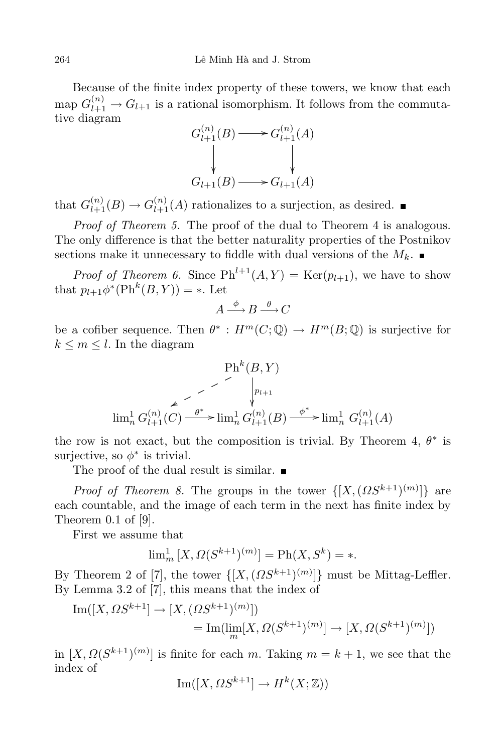Because of the finite index property of these towers, we know that each  $\text{map } G_{l+1}^{(n)} \to G_{l+1}$  is a rational isomorphism. It follows from the commutative diagram

$$
G_{l+1}^{(n)}(B) \longrightarrow G_{l+1}^{(n)}(A)
$$
  
\n
$$
\downarrow \qquad \qquad \downarrow
$$
  
\n
$$
G_{l+1}(B) \longrightarrow G_{l+1}(A)
$$

that  $G_{l+1}^{(n)}(B) \to G_{l+1}^{(n)}(A)$  rationalizes to a surjection, as desired.

*Proof of Theorem 5.* The proof of the dual to Theorem 4 is analogous. The only difference is that the better naturality properties of the Postnikov sections make it unnecessary to fiddle with dual versions of the  $M_k$ .

*Proof of Theorem 6.* Since  $\text{Ph}^{l+1}(A, Y) = \text{Ker}(p_{l+1}),$  we have to show that  $p_{l+1}\phi^*(\text{Ph}^k(B, Y)) = *$ . Let

$$
A \xrightarrow{\phi} B \xrightarrow{\theta} C
$$

be a cofiber sequence. Then  $\theta^* : H^m(C; \mathbb{Q}) \to H^m(B; \mathbb{Q})$  is surjective for  $k \leq m \leq l$ . In the diagram

$$
\text{Pin}^k(B, Y)
$$
\n
$$
\text{lim}_n^1 G_{l+1}^{(n)}(C) \xrightarrow{\theta^*} \text{lim}_n^1 G_{l+1}^{(n)}(B) \xrightarrow{\phi^*} \text{lim}_n^1 G_{l+1}^{(n)}(A)
$$

the row is not exact, but the composition is trivial. By Theorem 4, *θ ∗* is surjective, so  $\phi^*$  is trivial.

The proof of the dual result is similar.  $\blacksquare$ 

*Proof of Theorem 8*. The groups in the tower  $\{[X, (\Omega S^{k+1})^{(m)}]\}$  are each countable, and the image of each term in the next has finite index by Theorem 0.1 of [9].

First we assume that

$$
\lim_{m} [X, \Omega(S^{k+1})^{(m)}] = \text{Ph}(X, S^k) = *.
$$

By Theorem 2 of [7], the tower  $\{[X, (\Omega S^{k+1})^{(m)}]\}$  must be Mittag-Leffler. By Lemma 3.2 of [7], this means that the index of

Im([X, 
$$
\Omega S^{k+1}] \to [X, (\Omega S^{k+1})^{(m)}])
$$
  
= Im(lim<sub>m</sub>[X,  $\Omega (S^{k+1})^{(m)}] \to [X, \Omega (S^{k+1})^{(m)}])$ 

 $\lim [X, \Omega(S^{k+1})^{(m)}]$  is finite for each *m*. Taking  $m = k+1$ , we see that the index of

$$
\operatorname{Im}([X, \Omega S^{k+1}] \to H^k(X; \mathbb{Z}))
$$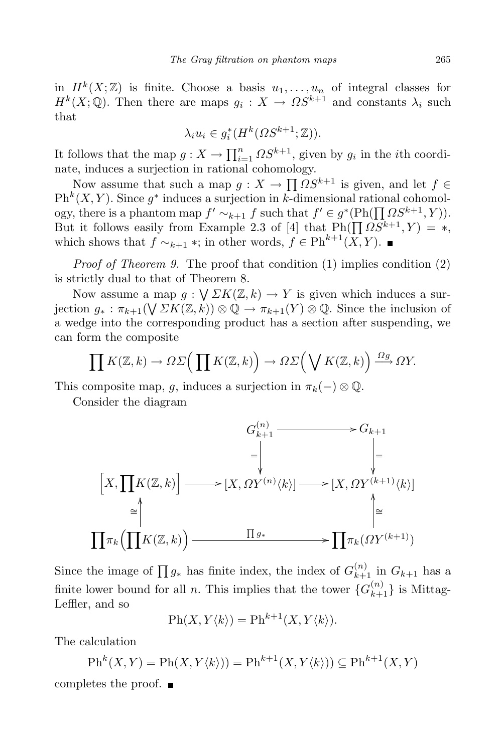in  $H^k(X;\mathbb{Z})$  is finite. Choose a basis  $u_1, \ldots, u_n$  of integral classes for  $H^k(X; \mathbb{Q})$ . Then there are maps  $g_i: X \to \Omega S^{k+1}$  and constants  $\lambda_i$  such that

$$
\lambda_i u_i \in g_i^*(H^k(\Omega S^{k+1}; \mathbb{Z})).
$$

It follows that the map  $g: X \to \prod_{i=1}^n \Omega S^{k+1}$ , given by  $g_i$  in the *i*th coordinate, induces a surjection in rational cohomology.

Now assume that such a map  $g: X \to \prod \Omega S^{k+1}$  is given, and let  $f \in$  $\mathrm{Ph}^k(X, Y)$ . Since  $g^*$  induces a surjection in *k*-dimensional rational cohomology, there is a phantom map  $f' \sim_{k+1} f$  such that  $f' \in g^*(\text{Ph}(\prod_{i} \Omega S^{k+1}, Y)).$ But it follows easily from Example 2.3 of [4] that  $\text{Ph}(\prod_{i} \Omega S^{k+1}, Y) = *$ , which shows that  $f \sim_{k+1} \infty$ ; in other words,  $f \in \mathrm{Ph}^{k+1}(X, Y)$ . ■

*Proof of Theorem 9.* The proof that condition (1) implies condition (2) is strictly dual to that of Theorem 8.

Now assume a map  $g: \bigvee \Sigma K(\mathbb{Z}, k) \to Y$  is given which induces a surjection  $g_* : \pi_{k+1}(\bigvee \Sigma K(\mathbb{Z}, k)) \otimes \mathbb{Q} \to \pi_{k+1}(Y) \otimes \mathbb{Q}$ . Since the inclusion of a wedge into the corresponding product has a section after suspending, we can form the composite

$$
\prod K(\mathbb{Z},k) \to \Omega \Sigma \Big( \prod K(\mathbb{Z},k) \Big) \to \Omega \Sigma \Big( \bigvee K(\mathbb{Z},k) \Big) \xrightarrow{\Omega g} \Omega Y.
$$

This composite map, *g*, induces a surjection in  $\pi_k(-) \otimes \mathbb{Q}$ .

Consider the diagram

$$
G_{k+1}^{(n)} \longrightarrow G_{k+1}
$$
  
\n
$$
= \downarrow \qquad \qquad \downarrow
$$
  
\n
$$
[X, \prod K(\mathbb{Z}, k)] \longrightarrow [X, \Omega Y^{(n)} \langle k \rangle] \longrightarrow [X, \Omega Y^{(k+1)} \langle k \rangle]
$$
  
\n
$$
\cong \downarrow \qquad \qquad \downarrow
$$
  
\n
$$
\prod \pi_k \left( \prod K(\mathbb{Z}, k) \right) \longrightarrow \prod g_* \longrightarrow \prod \pi_k \left( \Omega Y^{(k+1)} \right)
$$

Since the image of  $\prod g_*$  has finite index, the index of  $G_{k+1}^{(n)}$  in  $G_{k+1}$  has a finite lower bound for all *n*. This implies that the tower  ${G_{k+1}^{(n)}}$  is Mittag-Leffler, and so

$$
\mathrm{Ph}(X, Y\langle k \rangle) = \mathrm{Ph}^{k+1}(X, Y\langle k \rangle).
$$

The calculation

$$
\text{Ph}^k(X, Y) = \text{Ph}(X, Y\langle k \rangle)) = \text{Ph}^{k+1}(X, Y\langle k \rangle)) \subseteq \text{Ph}^{k+1}(X, Y)
$$
 completes the proof.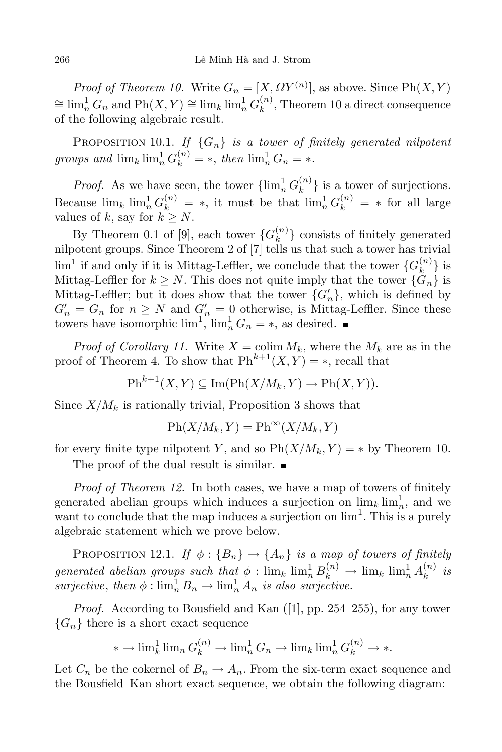*Proof of Theorem 10.* Write  $G_n = [X, \Omega Y^{(n)}]$ , as above. Since  $\text{Ph}(X, Y)$  $\cong \lim_{n} G_n$  and  $\underline{\mathrm{Ph}}(X, Y) \cong \lim_{n} \lim_{n} G_k^{(n)}$  $k^{(n)}$ , Theorem 10 a direct consequence of the following algebraic result.

PROPOSITION 10.1. *If*  $\{G_n\}$  *is a tower of finitely generated nilpotent groups* and  $\lim_{k} \lim_{n} G_k^{(n)} = *$ , then  $\lim_{n} G_n = *$ .

*Proof.* As we have seen, the tower  $\{\lim_{n}^{1} G_k^{(n)}\}$  $\{k^{(n)}\}$  is a tower of surjections. Because  $\lim_{k} \lim_{n \to \infty} G_k^{(n)} = *$ , it must be that  $\lim_{n \to \infty} G_k^{(n)} = *$  for all large values of *k*, say for  $k \geq N$ .

By Theorem 0.1 of [9], each tower  ${G_k^{(n)}}$  $\binom{n}{k}$  consists of finitely generated nilpotent groups. Since Theorem 2 of [7] tells us that such a tower has trivial  $\lim^1$  if and only if it is Mittag-Leffler, we conclude that the tower  ${G_k^{(n)}}$  $\binom{n}{k}$  is Mittag-Leffler for  $k \geq N$ . This does not quite imply that the tower  $\{G_n\}$  is Mittag-Leffler; but it does show that the tower  ${G'_n}$ , which is defined by  $G'_n = G_n$  for  $n \geq N$  and  $G'_n = 0$  otherwise, is Mittag-Leffler. Since these towers have isomorphic  $\lim_{n \to \infty} \lim_{n \to \infty} G_n = *$ , as desired.

*Proof of Corollary* 11. Write  $X = \text{colim } M_k$ , where the  $M_k$  are as in the proof of Theorem 4. To show that  $\text{Ph}^{k+1}(X, Y) = *$ , recall that

 $\mathrm{Ph}^{k+1}(X, Y) \subseteq \mathrm{Im}(\mathrm{Ph}(X/M_k, Y) \to \mathrm{Ph}(X, Y)).$ 

Since  $X/M_k$  is rationally trivial, Proposition 3 shows that

$$
Ph(X/M_k, Y) = Ph^{\infty}(X/M_k, Y)
$$

for every finite type nilpotent *Y*, and so  $\text{Ph}(X/M_k, Y) = *$  by Theorem 10.

The proof of the dual result is similar.

*Proof of Theorem 12.* In both cases, we have a map of towers of finitely generated abelian groups which induces a surjection on  $\lim_{n \to \infty} \lim_{n \to \infty}$ , and we want to conclude that the map induces a surjection on  $\lim^1$ . This is a purely algebraic statement which we prove below.

PROPOSITION 12.1. *If*  $\phi$ :  ${B_n} \rightarrow {A_n}$  *is a map of towers of finitely*  $generalized abelian groups such that  $\phi : \lim_k \lim_{n \to \infty} B_k^{(n)} \to \lim_k \lim_{n \to \infty} A_k^{(n)}$$  $\binom{n}{k}$  *is surjective*, *then*  $\phi$  :  $\lim_{n}^{1} B_n \to \lim_{n}^{1} A_n$  *is also surjective.* 

*Proof.* According to Bousfield and Kan ([1], pp. 254–255), for any tower  ${G_n}$  there is a short exact sequence

$$
* \to \lim_{k} \lim_{n} G_k^{(n)} \to \lim_{n} G_n \to \lim_{k} \lim_{n} G_k^{(n)} \to *.
$$

Let  $C_n$  be the cokernel of  $B_n \to A_n$ . From the six-term exact sequence and the Bousfield–Kan short exact sequence, we obtain the following diagram: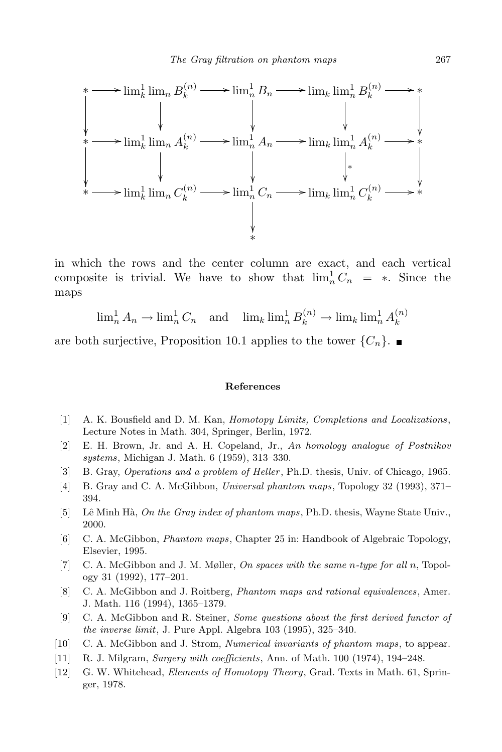

in which the rows and the center column are exact, and each vertical composite is trivial. We have to show that  $\lim_{n}^{1} C_n = *$ . Since the maps

$$
\lim_{n} A_n \to \lim_{n} C_n \quad \text{and} \quad \lim_{n} \lim_{n} B_k^{(n)} \to \lim_{n} \lim_{n} A_k^{(n)}
$$

are both surjective, Proposition 10.1 applies to the tower  $\{C_n\}$ .

## **References**

- [1] A. K. Bousfield and D. M. Kan, *Homotopy Limits, Completions and Localizations*, Lecture Notes in Math. 304, Springer, Berlin, 1972.
- [2] E. H. Brown, Jr. and A. H. Copeland, Jr., *An homology analogue of Postnikov systems*, Michigan J. Math. 6 (1959), 313–330.
- [3] B. Gray, *Operations and a problem of Heller*, Ph.D. thesis, Univ. of Chicago, 1965.
- [4] B. Gray and C. A. McGibbon, *Universal phantom maps*, Topology 32 (1993), 371– 394.
- [5] Lˆe Minh H`a, *On the Gray index of phantom maps*, Ph.D. thesis, Wayne State Univ., 2000.
- [6] C. A. McGibbon, *Phantom maps*, Chapter 25 in: Handbook of Algebraic Topology, Elsevier, 1995.
- [7] C. A. McGibbon and J. M. Møller, *On spaces with the same n-type for all n*, Topology 31 (1992), 177–201.
- [8] C. A. McGibbon and J. Roitberg, *Phantom maps and rational equivalences*, Amer. J. Math. 116 (1994), 1365–1379.
- [9] C. A. McGibbon and R. Steiner, *Some questions about the first derived functor of the inverse limit*, J. Pure Appl. Algebra 103 (1995), 325–340.
- [10] C. A. McGibbon and J. Strom, *Numerical invariants of phantom maps*, to appear.
- [11] R. J. Milgram, *Surgery with coefficients*, Ann. of Math. 100 (1974), 194–248.
- [12] G. W. Whitehead, *Elements of Homotopy Theory*, Grad. Texts in Math. 61, Springer, 1978.